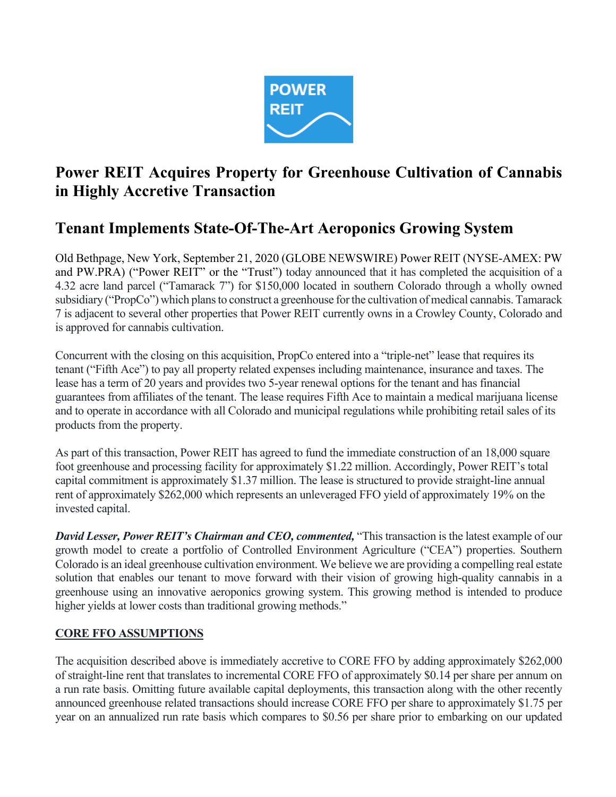

## **Power REIT Acquires Property for Greenhouse Cultivation of Cannabis in Highly Accretive Transaction**

# **Tenant Implements State-Of-The-Art Aeroponics Growing System**

Old Bethpage, New York, September 21, 2020 (GLOBE NEWSWIRE) Power REIT (NYSE-AMEX: PW and PW.PRA) ("Power REIT" or the "Trust") today announced that it has completed the acquisition of a 4.32 acre land parcel ("Tamarack 7") for \$150,000 located in southern Colorado through a wholly owned subsidiary ("PropCo") which plans to construct a greenhouse for the cultivation of medical cannabis. Tamarack 7 is adjacent to several other properties that Power REIT currently owns in a Crowley County, Colorado and is approved for cannabis cultivation.

Concurrent with the closing on this acquisition, PropCo entered into a "triple-net" lease that requires its tenant ("Fifth Ace") to pay all property related expenses including maintenance, insurance and taxes. The lease has a term of 20 years and provides two 5-year renewal options for the tenant and has financial guarantees from affiliates of the tenant. The lease requires Fifth Ace to maintain a medical marijuana license and to operate in accordance with all Colorado and municipal regulations while prohibiting retail sales of its products from the property.

As part of this transaction, Power REIT has agreed to fund the immediate construction of an 18,000 square foot greenhouse and processing facility for approximately \$1.22 million. Accordingly, Power REIT's total capital commitment is approximately \$1.37 million. The lease is structured to provide straight-line annual rent of approximately \$262,000 which represents an unleveraged FFO yield of approximately 19% on the invested capital.

*David Lesser, Power REIT's Chairman and CEO, commented,* "This transaction is the latest example of our growth model to create a portfolio of Controlled Environment Agriculture ("CEA") properties. Southern Colorado is an ideal greenhouse cultivation environment. We believe we are providing a compelling real estate solution that enables our tenant to move forward with their vision of growing high-quality cannabis in a greenhouse using an innovative aeroponics growing system. This growing method is intended to produce higher yields at lower costs than traditional growing methods."

#### **CORE FFO ASSUMPTIONS**

The acquisition described above is immediately accretive to CORE FFO by adding approximately \$262,000 of straight-line rent that translates to incremental CORE FFO of approximately \$0.14 per share per annum on a run rate basis. Omitting future available capital deployments, this transaction along with the other recently announced greenhouse related transactions should increase CORE FFO per share to approximately \$1.75 per year on an annualized run rate basis which compares to \$0.56 per share prior to embarking on our updated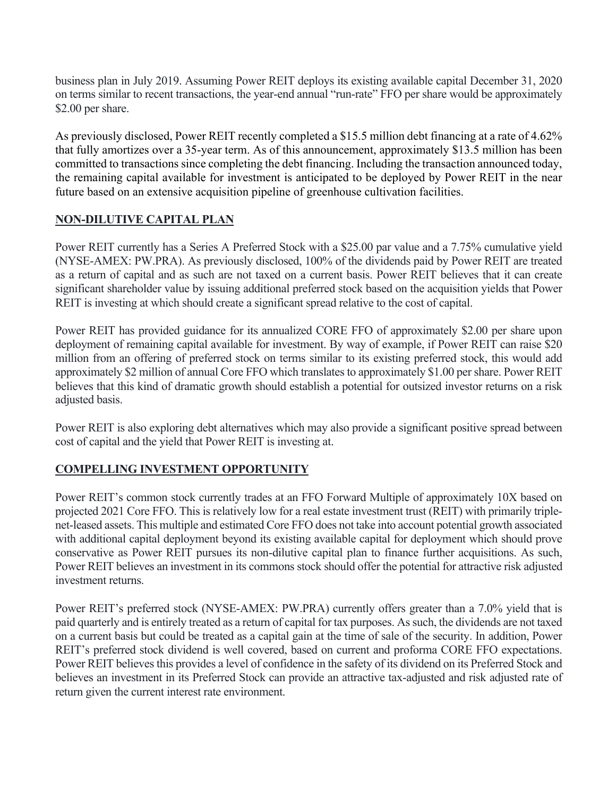business plan in July 2019. Assuming Power REIT deploys its existing available capital December 31, 2020 on terms similar to recent transactions, the year-end annual "run-rate" FFO per share would be approximately \$2.00 per share.

As previously disclosed, Power REIT recently completed a \$15.5 million debt financing at a rate of 4.62% that fully amortizes over a 35-year term. As of this announcement, approximately \$13.5 million has been committed to transactions since completing the debt financing. Including the transaction announced today, the remaining capital available for investment is anticipated to be deployed by Power REIT in the near future based on an extensive acquisition pipeline of greenhouse cultivation facilities.

#### **NON-DILUTIVE CAPITAL PLAN**

Power REIT currently has a Series A Preferred Stock with a \$25.00 par value and a 7.75% cumulative yield (NYSE-AMEX: PW.PRA). As previously disclosed, 100% of the dividends paid by Power REIT are treated as a return of capital and as such are not taxed on a current basis. Power REIT believes that it can create significant shareholder value by issuing additional preferred stock based on the acquisition yields that Power REIT is investing at which should create a significant spread relative to the cost of capital.

Power REIT has provided guidance for its annualized CORE FFO of approximately \$2.00 per share upon deployment of remaining capital available for investment. By way of example, if Power REIT can raise \$20 million from an offering of preferred stock on terms similar to its existing preferred stock, this would add approximately \$2 million of annual Core FFO which translates to approximately \$1.00 per share. Power REIT believes that this kind of dramatic growth should establish a potential for outsized investor returns on a risk adjusted basis.

Power REIT is also exploring debt alternatives which may also provide a significant positive spread between cost of capital and the yield that Power REIT is investing at.

#### **COMPELLING INVESTMENT OPPORTUNITY**

Power REIT's common stock currently trades at an FFO Forward Multiple of approximately 10X based on projected 2021 Core FFO. This is relatively low for a real estate investment trust (REIT) with primarily triplenet-leased assets. This multiple and estimated Core FFO does not take into account potential growth associated with additional capital deployment beyond its existing available capital for deployment which should prove conservative as Power REIT pursues its non-dilutive capital plan to finance further acquisitions. As such, Power REIT believes an investment in its commons stock should offer the potential for attractive risk adjusted investment returns.

Power REIT's preferred stock (NYSE-AMEX: PW.PRA) currently offers greater than a 7.0% yield that is paid quarterly and is entirely treated as a return of capital for tax purposes. As such, the dividends are not taxed on a current basis but could be treated as a capital gain at the time of sale of the security. In addition, Power REIT's preferred stock dividend is well covered, based on current and proforma CORE FFO expectations. Power REIT believes this provides a level of confidence in the safety of its dividend on its Preferred Stock and believes an investment in its Preferred Stock can provide an attractive tax-adjusted and risk adjusted rate of return given the current interest rate environment.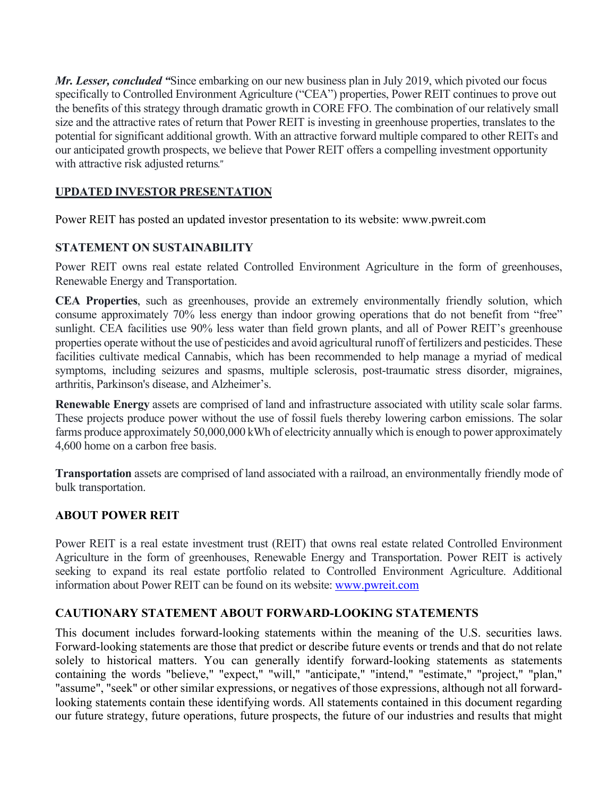*Mr. Lesser, concluded "*Since embarking on our new business plan in July 2019, which pivoted our focus specifically to Controlled Environment Agriculture ("CEA") properties, Power REIT continues to prove out the benefits of this strategy through dramatic growth in CORE FFO. The combination of our relatively small size and the attractive rates of return that Power REIT is investing in greenhouse properties, translates to the potential for significant additional growth. With an attractive forward multiple compared to other REITs and our anticipated growth prospects, we believe that Power REIT offers a compelling investment opportunity with attractive risk adjusted returns."

### **UPDATED INVESTOR PRESENTATION**

Power REIT has posted an updated investor presentation to its website: www.pwreit.com

#### **STATEMENT ON SUSTAINABILITY**

Power REIT owns real estate related Controlled Environment Agriculture in the form of greenhouses, Renewable Energy and Transportation.

**CEA Properties**, such as greenhouses, provide an extremely environmentally friendly solution, which consume approximately 70% less energy than indoor growing operations that do not benefit from "free" sunlight. CEA facilities use 90% less water than field grown plants, and all of Power REIT's greenhouse properties operate without the use of pesticides and avoid agricultural runoff of fertilizers and pesticides. These facilities cultivate medical Cannabis, which has been recommended to help manage a myriad of medical symptoms, including seizures and spasms, multiple sclerosis, post-traumatic stress disorder, migraines, arthritis, Parkinson's disease, and Alzheimer's.

**Renewable Energy** assets are comprised of land and infrastructure associated with utility scale solar farms. These projects produce power without the use of fossil fuels thereby lowering carbon emissions. The solar farms produce approximately 50,000,000 kWh of electricity annually which is enough to power approximately 4,600 home on a carbon free basis.

**Transportation** assets are comprised of land associated with a railroad, an environmentally friendly mode of bulk transportation.

#### **ABOUT POWER REIT**

Power REIT is a real estate investment trust (REIT) that owns real estate related Controlled Environment Agriculture in the form of greenhouses, Renewable Energy and Transportation. Power REIT is actively seeking to expand its real estate portfolio related to Controlled Environment Agriculture. Additional information about Power REIT can be found on its website: www.pwreit.com

#### **CAUTIONARY STATEMENT ABOUT FORWARD-LOOKING STATEMENTS**

This document includes forward-looking statements within the meaning of the U.S. securities laws. Forward-looking statements are those that predict or describe future events or trends and that do not relate solely to historical matters. You can generally identify forward-looking statements as statements containing the words "believe," "expect," "will," "anticipate," "intend," "estimate," "project," "plan," "assume", "seek" or other similar expressions, or negatives of those expressions, although not all forwardlooking statements contain these identifying words. All statements contained in this document regarding our future strategy, future operations, future prospects, the future of our industries and results that might